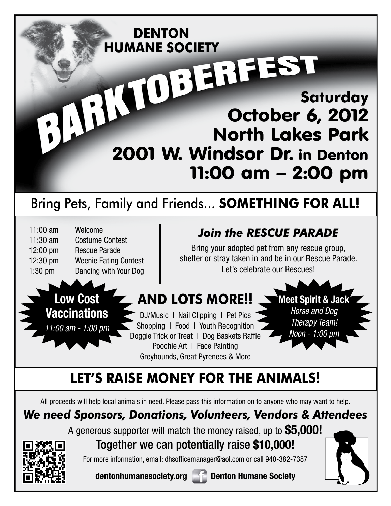#### **Saturday** October 6, 2012 North Lakes Park 2001 W. Windsor Dr. in Denton 11:00 am – 2:00 pm **DENTON HUMANE SOCIETY** Bring Pets, Family and Friends... **SOMETHING FOR ALL! Meet Spirit & Jack** *Horse and Dog Therapy Team! Noon - 1:00 pm Join the RESCUE PARADE* Bring your adopted pet from any rescue group, shelter or stray taken in and be in our Rescue Parade. Let's celebrate our Rescues! 11:00 am Welcome 11:30 am Costume Contest 12:00 pm Rescue Parade 12:30 pm Weenie Eating Contest 1:30 pm Dancing with Your Dog **AND LOTS MORE!!** DJ/Music | Nail Clipping | Pet Pics Shopping | Food | Youth Recognition Doggie Trick or Treat | Dog Baskets Raffle Poochie Art | Face Painting Greyhounds, Great Pyrenees & More **Low Cost Vaccinations** *11:00 am - 1:00 pm* **LET'S RAISE MONEY FOR THE ANIMALS!**

All proceeds will help local animals in need. Please pass this information on to anyone who may want to help.

### *We need Sponsors, Donations, Volunteers, Vendors & Attendees*

A generous supporter will match the money raised, up to **\$5,000!**



Together we can potentially raise **\$10,000!**

For more information, email: dhsofficemanager@aol.com or call 940-382-7387

**dentonhumanesociety.org Denton Humane Society**